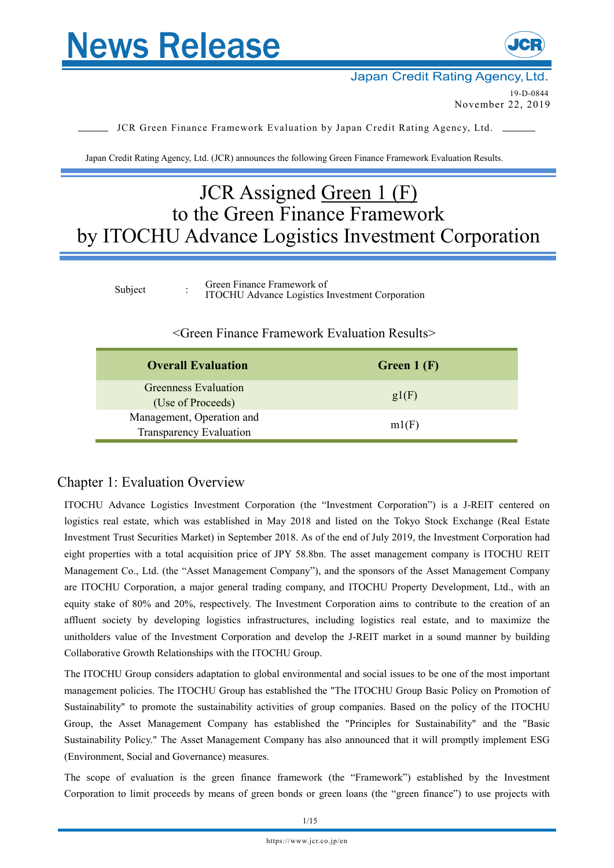



Japan Credit Rating Agency, Ltd. 19-D-0844

November 22, 2019

JCR Green Finance Framework Evaluation by Japan Credit Rating Agency, Ltd.

Japan Credit Rating Agency, Ltd. (JCR) announces the following Green Finance Framework Evaluation Results.

# JCR Assigned Green 1 (F) to the Green Finance Framework by ITOCHU Advance Logistics Investment Corporation

| Subject |  | Green Finance Framework of<br><b>ITOCHU</b> Advance Logistics Investment Corporation |
|---------|--|--------------------------------------------------------------------------------------|
|---------|--|--------------------------------------------------------------------------------------|

## <Green Finance Framework Evaluation Results>

| <b>Overall Evaluation</b>                            | Green $1(F)$ |
|------------------------------------------------------|--------------|
| Greenness Evaluation<br>(Use of Proceeds)            | gl(F)        |
| Management, Operation and<br>Transparency Evaluation | ml(F)        |

## Chapter 1: Evaluation Overview

ITOCHU Advance Logistics Investment Corporation (the "Investment Corporation") is a J-REIT centered on logistics real estate, which was established in May 2018 and listed on the Tokyo Stock Exchange (Real Estate Investment Trust Securities Market) in September 2018. As of the end of July 2019, the Investment Corporation had eight properties with a total acquisition price of JPY 58.8bn. The asset management company is ITOCHU REIT Management Co., Ltd. (the "Asset Management Company"), and the sponsors of the Asset Management Company are ITOCHU Corporation, a major general trading company, and ITOCHU Property Development, Ltd., with an equity stake of 80% and 20%, respectively. The Investment Corporation aims to contribute to the creation of an affluent society by developing logistics infrastructures, including logistics real estate, and to maximize the unitholders value of the Investment Corporation and develop the J-REIT market in a sound manner by building Collaborative Growth Relationships with the ITOCHU Group.

The ITOCHU Group considers adaptation to global environmental and social issues to be one of the most important management policies. The ITOCHU Group has established the "The ITOCHU Group Basic Policy on Promotion of Sustainability" to promote the sustainability activities of group companies. Based on the policy of the ITOCHU Group, the Asset Management Company has established the "Principles for Sustainability" and the "Basic Sustainability Policy." The Asset Management Company has also announced that it will promptly implement ESG (Environment, Social and Governance) measures.

The scope of evaluation is the green finance framework (the "Framework") established by the Investment Corporation to limit proceeds by means of green bonds or green loans (the "green finance") to use projects with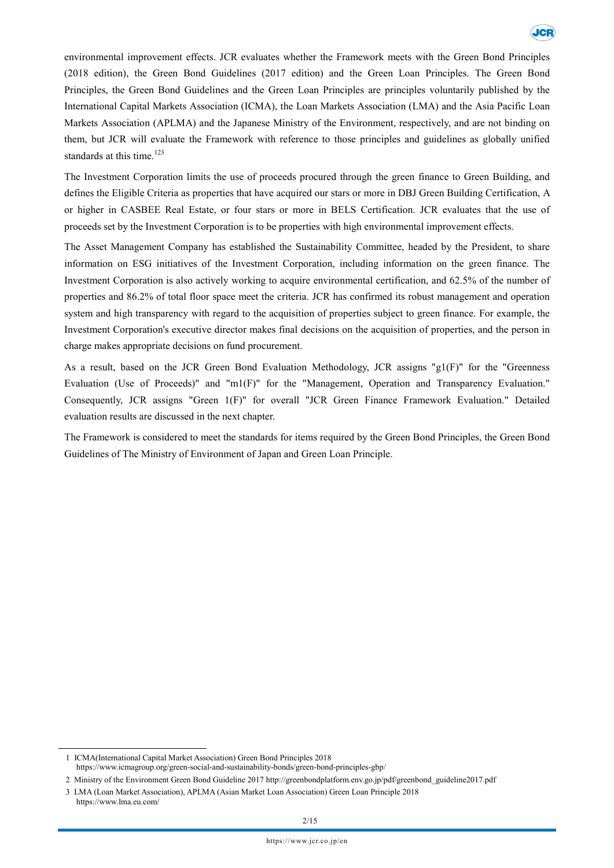

environmental improvement effects. JCR evaluates whether the Framework meets with the Green Bond Principles (2018 edition), the Green Bond Guidelines (2017 edition) and the Green Loan Principles. The Green Bond Principles, the Green Bond Guidelines and the Green Loan Principles are principles voluntarily published by the International Capital Markets Association (ICMA), the Loan Markets Association (LMA) and the Asia Pacific Loan Markets Association (APLMA) and the Japanese Ministry of the Environment, respectively, and are not binding on them, but JCR will evaluate the Framework with reference to those principles and guidelines as globally unified standards at this time.<sup>123</sup>

The Investment Corporation limits the use of proceeds procured through the green finance to Green Building, and defines the Eligible Criteria as properties that have acquired our stars or more in DBJ Green Building Certification, A or higher in CASBEE Real Estate, or four stars or more in BELS Certification. JCR evaluates that the use of proceeds set by the Investment Corporation is to be properties with high environmental improvement effects.

The Asset Management Company has established the Sustainability Committee, headed by the President, to share information on ESG initiatives of the Investment Corporation, including information on the green finance. The Investment Corporation is also actively working to acquire environmental certification, and 62.5% of the number of properties and 86.2% of total floor space meet the criteria. JCR has confirmed its robust management and operation system and high transparency with regard to the acquisition of properties subject to green finance. For example, the Investment Corporation's executive director makes final decisions on the acquisition of properties, and the person in charge makes appropriate decisions on fund procurement.

As a result, based on the JCR Green Bond Evaluation Methodology, JCR assigns "g1(F)" for the "Greenness Evaluation (Use of Proceeds)" and "m1(F)" for the "Management, Operation and Transparency Evaluation." Consequently, JCR assigns "Green 1(F)" for overall "JCR Green Finance Framework Evaluation." Detailed evaluation results are discussed in the next chapter.

The Framework is considered to meet the standards for items required by the Green Bond Principles, the Green Bond Guidelines of The Ministry of Environment of Japan and Green Loan Principle.

<sup>1</sup> ICMA(International Capital Market Association) Green Bond Principles 2018 https://www.icmagroup.org/green-social-and-sustainability-bonds/green-bond-principles-gbp/

<sup>2</sup> Ministry of the Environment Green Bond Guideline 2017 http://greenbondplatform.env.go.jp/pdf/greenbond\_guideline2017.pdf

<sup>3</sup> LMA (Loan Market Association), APLMA (Asian Market Loan Association) Green Loan Principle 2018 https://www.lma.eu.com/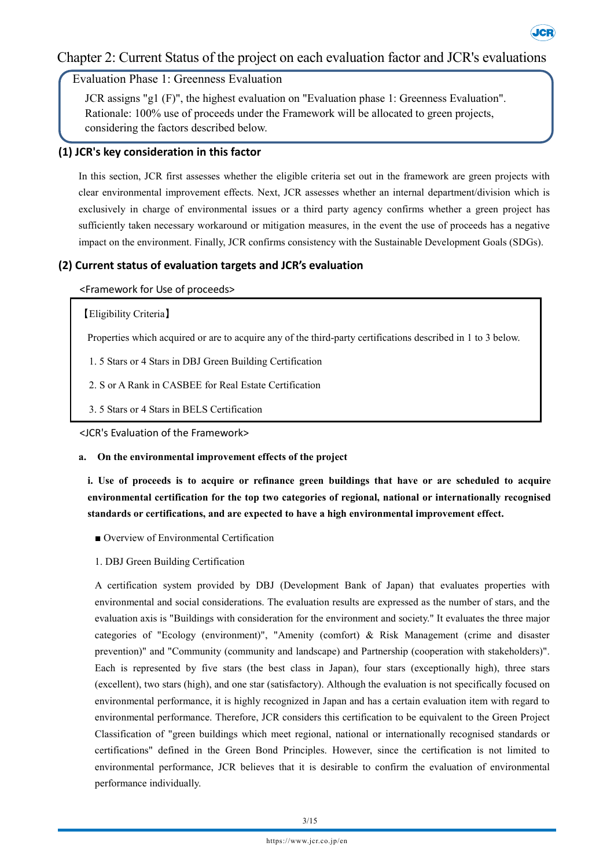## Chapter 2: Current Status of the project on each evaluation factor and JCR's evaluations

**Jer** 

Evaluation Phase 1: Greenness Evaluation

JCR assigns "g1 (F)", the highest evaluation on "Evaluation phase 1: Greenness Evaluation". Rationale: 100% use of proceeds under the Framework will be allocated to green projects, considering the factors described below.

## **(1) JCR's key consideration in this factor**

In this section, JCR first assesses whether the eligible criteria set out in the framework are green projects with clear environmental improvement effects. Next, JCR assesses whether an internal department/division which is exclusively in charge of environmental issues or a third party agency confirms whether a green project has sufficiently taken necessary workaround or mitigation measures, in the event the use of proceeds has a negative impact on the environment. Finally, JCR confirms consistency with the Sustainable Development Goals (SDGs).

## **(2) Current status of evaluation targets and JCR's evaluation**

## <Framework for Use of proceeds>

## 【Eligibility Criteria】

Properties which acquired or are to acquire any of the third-party certifications described in 1 to 3 below.

- 1. 5 Stars or 4 Stars in DBJ Green Building Certification
- 2. S or A Rank in CASBEE for Real Estate Certification
- 3. 5 Stars or 4 Stars in BELS Certification

<JCR's Evaluation of the Framework>

### **a. On the environmental improvement effects of the project**

i. Use of proceeds is to acquire or refinance green buildings that have or are scheduled to acquire **environmental certification for the top two categories of regional, national or internationally recognised standards or certifications, and are expected to have a high environmental improvement effect.**

- Overview of Environmental Certification
- 1. DBJ Green Building Certification

A certification system provided by DBJ (Development Bank of Japan) that evaluates properties with environmental and social considerations. The evaluation results are expressed as the number of stars, and the evaluation axis is "Buildings with consideration for the environment and society." It evaluates the three major categories of "Ecology (environment)", "Amenity (comfort) & Risk Management (crime and disaster prevention)" and "Community (community and landscape) and Partnership (cooperation with stakeholders)". Each is represented by five stars (the best class in Japan), four stars (exceptionally high), three stars (excellent), two stars (high), and one star (satisfactory). Although the evaluation is not specifically focused on environmental performance, it is highly recognized in Japan and has a certain evaluation item with regard to environmental performance. Therefore, JCR considers this certification to be equivalent to the Green Project Classification of "green buildings which meet regional, national or internationally recognised standards or certifications" defined in the Green Bond Principles. However, since the certification is not limited to environmental performance, JCR believes that it is desirable to confirm the evaluation of environmental performance individually.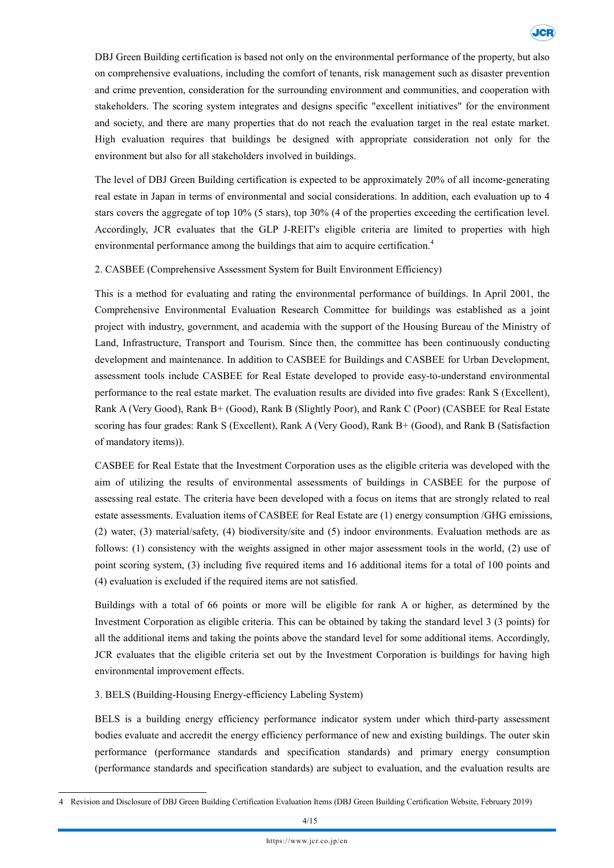

DBJ Green Building certification is based not only on the environmental performance of the property, but also on comprehensive evaluations, including the comfort of tenants, risk management such as disaster prevention and crime prevention, consideration for the surrounding environment and communities, and cooperation with stakeholders. The scoring system integrates and designs specific "excellent initiatives" for the environment and society, and there are many properties that do not reach the evaluation target in the real estate market. High evaluation requires that buildings be designed with appropriate consideration not only for the environment but also for all stakeholders involved in buildings.

The level of DBJ Green Building certification is expected to be approximately 20% of all income-generating real estate in Japan in terms of environmental and social considerations. In addition, each evaluation up to 4 stars covers the aggregate of top 10% (5 stars), top 30% (4 of the properties exceeding the certification level. Accordingly, JCR evaluates that the GLP J-REIT's eligible criteria are limited to properties with high environmental performance among the buildings that aim to acquire certification.<sup>4</sup>

## 2. CASBEE (Comprehensive Assessment System for Built Environment Efficiency)

This is a method for evaluating and rating the environmental performance of buildings. In April 2001, the Comprehensive Environmental Evaluation Research Committee for buildings was established as a joint project with industry, government, and academia with the support of the Housing Bureau of the Ministry of Land, Infrastructure, Transport and Tourism. Since then, the committee has been continuously conducting development and maintenance. In addition to CASBEE for Buildings and CASBEE for Urban Development, assessment tools include CASBEE for Real Estate developed to provide easy-to-understand environmental performance to the real estate market. The evaluation results are divided into five grades: Rank S (Excellent), Rank A (Very Good), Rank B+ (Good), Rank B (Slightly Poor), and Rank C (Poor) (CASBEE for Real Estate scoring has four grades: Rank S (Excellent), Rank A (Very Good), Rank B+ (Good), and Rank B (Satisfaction of mandatory items)).

CASBEE for Real Estate that the Investment Corporation uses as the eligible criteria was developed with the aim of utilizing the results of environmental assessments of buildings in CASBEE for the purpose of assessing real estate. The criteria have been developed with a focus on items that are strongly related to real estate assessments. Evaluation items of CASBEE for Real Estate are (1) energy consumption /GHG emissions, (2) water, (3) material/safety, (4) biodiversity/site and (5) indoor environments. Evaluation methods are as follows: (1) consistency with the weights assigned in other major assessment tools in the world, (2) use of point scoring system, (3) including five required items and 16 additional items for a total of 100 points and (4) evaluation is excluded if the required items are not satisfied.

Buildings with a total of 66 points or more will be eligible for rank A or higher, as determined by the Investment Corporation as eligible criteria. This can be obtained by taking the standard level 3 (3 points) for all the additional items and taking the points above the standard level for some additional items. Accordingly, JCR evaluates that the eligible criteria set out by the Investment Corporation is buildings for having high environmental improvement effects.

### 3. BELS (Building-Housing Energy-efficiency Labeling System)

BELS is a building energy efficiency performance indicator system under which third-party assessment bodies evaluate and accredit the energy efficiency performance of new and existing buildings. The outer skin performance (performance standards and specification standards) and primary energy consumption (performance standards and specification standards) are subject to evaluation, and the evaluation results are

<sup>4</sup> Revision and Disclosure of DBJ Green Building Certification Evaluation Items (DBJ Green Building Certification Website, February 2019)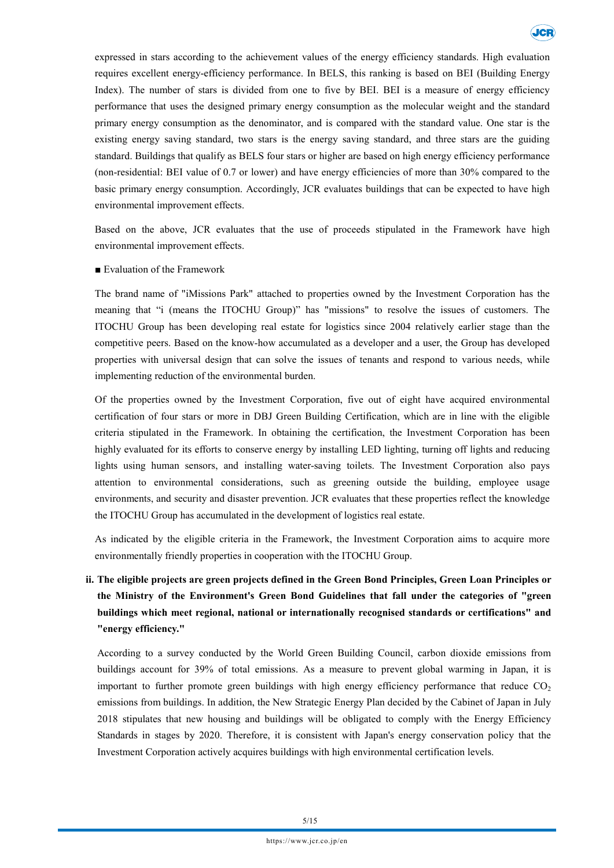

expressed in stars according to the achievement values of the energy efficiency standards. High evaluation requires excellent energy-efficiency performance. In BELS, this ranking is based on BEI (Building Energy Index). The number of stars is divided from one to five by BEI. BEI is a measure of energy efficiency performance that uses the designed primary energy consumption as the molecular weight and the standard primary energy consumption as the denominator, and is compared with the standard value. One star is the existing energy saving standard, two stars is the energy saving standard, and three stars are the guiding standard. Buildings that qualify as BELS four stars or higher are based on high energy efficiency performance (non-residential: BEI value of 0.7 or lower) and have energy efficiencies of more than 30% compared to the basic primary energy consumption. Accordingly, JCR evaluates buildings that can be expected to have high environmental improvement effects.

Based on the above, JCR evaluates that the use of proceeds stipulated in the Framework have high environmental improvement effects.

■ Evaluation of the Framework

The brand name of "iMissions Park" attached to properties owned by the Investment Corporation has the meaning that "i (means the ITOCHU Group)" has "missions" to resolve the issues of customers. The ITOCHU Group has been developing real estate for logistics since 2004 relatively earlier stage than the competitive peers. Based on the know-how accumulated as a developer and a user, the Group has developed properties with universal design that can solve the issues of tenants and respond to various needs, while implementing reduction of the environmental burden.

Of the properties owned by the Investment Corporation, five out of eight have acquired environmental certification of four stars or more in DBJ Green Building Certification, which are in line with the eligible criteria stipulated in the Framework. In obtaining the certification, the Investment Corporation has been highly evaluated for its efforts to conserve energy by installing LED lighting, turning off lights and reducing lights using human sensors, and installing water-saving toilets. The Investment Corporation also pays attention to environmental considerations, such as greening outside the building, employee usage environments, and security and disaster prevention. JCR evaluates that these properties reflect the knowledge the ITOCHU Group has accumulated in the development of logistics real estate.

As indicated by the eligible criteria in the Framework, the Investment Corporation aims to acquire more environmentally friendly properties in cooperation with the ITOCHU Group.

## ii. The eligible projects are green projects defined in the Green Bond Principles, Green Loan Principles or **the Ministry of the Environment's Green Bond Guidelines that fall under the categories of "green buildings which meet regional, national or internationally recognised standards or certifications" and "energy efficiency."**

According to a survey conducted by the World Green Building Council, carbon dioxide emissions from buildings account for 39% of total emissions. As a measure to prevent global warming in Japan, it is important to further promote green buildings with high energy efficiency performance that reduce  $CO<sub>2</sub>$ emissions from buildings. In addition, the New Strategic Energy Plan decided by the Cabinet of Japan in July 2018 stipulates that new housing and buildings will be obligated to comply with the Energy Efficiency Standards in stages by 2020. Therefore, it is consistent with Japan's energy conservation policy that the Investment Corporation actively acquires buildings with high environmental certification levels.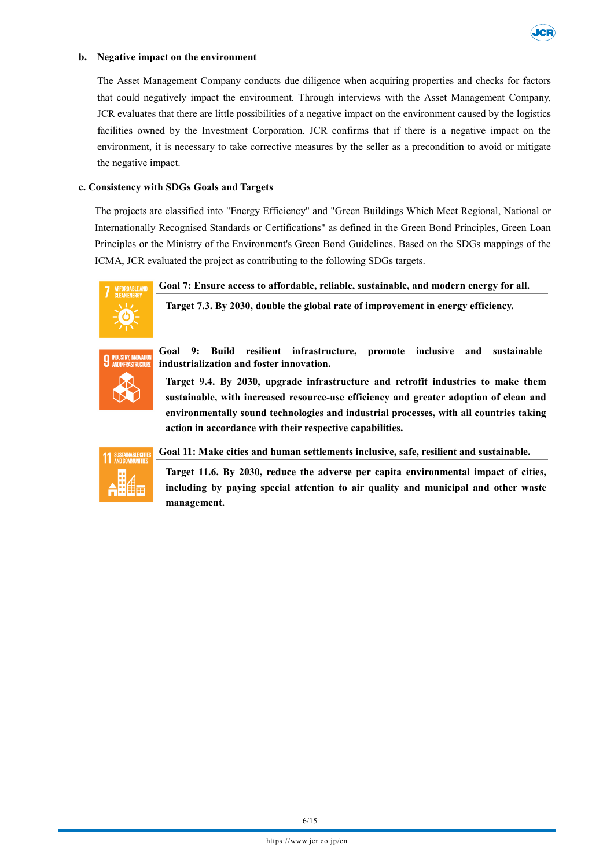

#### **b. Negative impact on the environment**

The Asset Management Company conducts due diligence when acquiring properties and checks for factors that could negatively impact the environment. Through interviews with the Asset Management Company, JCR evaluates that there are little possibilities of a negative impact on the environment caused by the logistics facilities owned by the Investment Corporation. JCR confirms that if there is a negative impact on the environment, it is necessary to take corrective measures by the seller as a precondition to avoid or mitigate the negative impact.

#### **c. Consistency with SDGs Goals and Targets**

The projects are classified into "Energy Efficiency" and "Green Buildings Which Meet Regional, National or Internationally Recognised Standards or Certifications" as defined in the Green Bond Principles, Green Loan Principles or the Ministry of the Environment's Green Bond Guidelines. Based on the SDGs mappings of the ICMA, JCR evaluated the project as contributing to the following SDGs targets.



**Goal 7: Ensure access to affordable, reliable, sustainable, and modern energy for all.**

**Target 7.3. By 2030, double the global rate of improvement in energy efficiency.**



**Goal 9: Build resilient infrastructure, promote inclusive and sustainable industrialization and foster innovation.**

**Target 9.4. By 2030, upgrade infrastructure and retrofit industries to make them sustainable, with increased resource-use efficiency and greater adoption of clean and environmentally sound technologies and industrial processes, with all countries taking action in accordance with their respective capabilities.**



**Goal 11: Make cities and human settlements inclusive, safe, resilient and sustainable.**

**Target 11.6. By 2030, reduce the adverse per capita environmental impact of cities, including by paying special attention to air quality and municipal and other waste management.**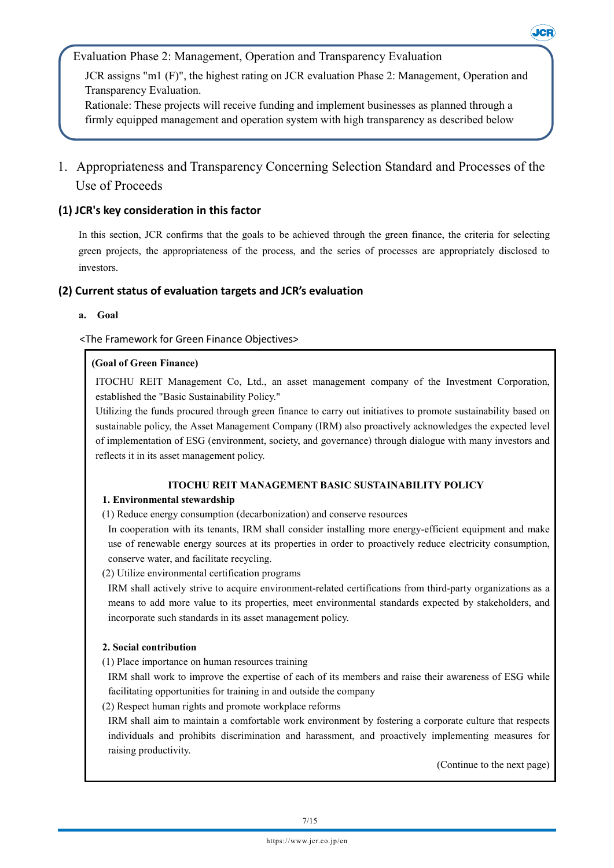Evaluation Phase 2: Management, Operation and Transparency Evaluation

JCR assigns "m1 (F)", the highest rating on JCR evaluation Phase 2: Management, Operation and Transparency Evaluation.

Rationale: These projects will receive funding and implement businesses as planned through a firmly equipped management and operation system with high transparency as described below

## 1. Appropriateness and Transparency Concerning Selection Standard and Processes of the Use of Proceeds

## **(1) JCR's key consideration in this factor**

In this section, JCR confirms that the goals to be achieved through the green finance, the criteria for selecting green projects, the appropriateness of the process, and the series of processes are appropriately disclosed to investors.

## **(2) Current status of evaluation targets and JCR's evaluation**

**a. Goal**

<The Framework for Green Finance Objectives>

## **(Goal of Green Finance)**

ITOCHU REIT Management Co, Ltd., an asset management company of the Investment Corporation, established the "Basic Sustainability Policy."

Utilizing the funds procured through green finance to carry out initiatives to promote sustainability based on sustainable policy, the Asset Management Company (IRM) also proactively acknowledges the expected level of implementation of ESG (environment, society, and governance) through dialogue with many investors and reflects it in its asset management policy.

## **ITOCHU REIT MANAGEMENT BASIC SUSTAINABILITY POLICY**

## **1. Environmental stewardship**

(1) Reduce energy consumption (decarbonization) and conserve resources

In cooperation with its tenants, IRM shall consider installing more energy-efficient equipment and make use of renewable energy sources at its properties in order to proactively reduce electricity consumption, conserve water, and facilitate recycling.

(2) Utilize environmental certification programs

IRM shall actively strive to acquire environment-related certifications from third-party organizations as a means to add more value to its properties, meet environmental standards expected by stakeholders, and incorporate such standards in its asset management policy.

## **2. Social contribution**

(1) Place importance on human resources training

IRM shall work to improve the expertise of each of its members and raise their awareness of ESG while facilitating opportunities for training in and outside the company

(2) Respect human rights and promote workplace reforms

IRM shall aim to maintain a comfortable work environment by fostering a corporate culture that respects individuals and prohibits discrimination and harassment, and proactively implementing measures for raising productivity.

(Continue to the next page)

**JCR**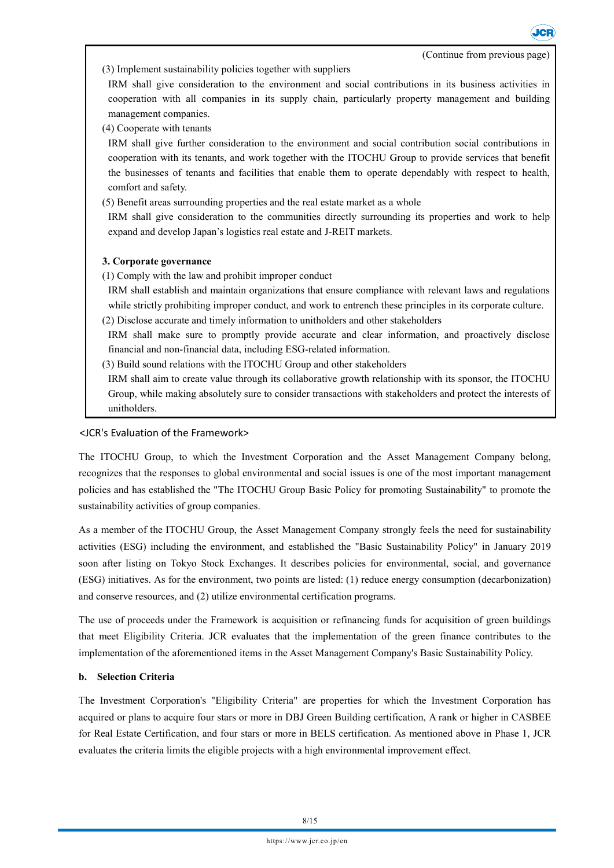**Jer** 

(3) Implement sustainability policies together with suppliers

IRM shall give consideration to the environment and social contributions in its business activities in cooperation with all companies in its supply chain, particularly property management and building management companies.

(4) Cooperate with tenants

IRM shall give further consideration to the environment and social contribution social contributions in cooperation with its tenants, and work together with the ITOCHU Group to provide services that benefit the businesses of tenants and facilities that enable them to operate dependably with respect to health, comfort and safety.

(5) Benefit areas surrounding properties and the real estate market as a whole

IRM shall give consideration to the communities directly surrounding its properties and work to help expand and develop Japan's logistics real estate and J-REIT markets.

## **3. Corporate governance**

- (1) Comply with the law and prohibit improper conduct
- IRM shall establish and maintain organizations that ensure compliance with relevant laws and regulations while strictly prohibiting improper conduct, and work to entrench these principles in its corporate culture.
- (2) Disclose accurate and timely information to unitholders and other stakeholders
- IRM shall make sure to promptly provide accurate and clear information, and proactively disclose financial and non-financial data, including ESG-related information.
- (3) Build sound relations with the ITOCHU Group and other stakeholders

IRM shall aim to create value through its collaborative growth relationship with its sponsor, the ITOCHU Group, while making absolutely sure to consider transactions with stakeholders and protect the interests of unitholders.

### <JCR's Evaluation of the Framework>

The ITOCHU Group, to which the Investment Corporation and the Asset Management Company belong, recognizes that the responses to global environmental and social issues is one of the most important management policies and has established the "The ITOCHU Group Basic Policy for promoting Sustainability" to promote the sustainability activities of group companies.

As a member of the ITOCHU Group, the Asset Management Company strongly feels the need for sustainability activities (ESG) including the environment, and established the "Basic Sustainability Policy" in January 2019 soon after listing on Tokyo Stock Exchanges. It describes policies for environmental, social, and governance (ESG) initiatives. As for the environment, two points are listed: (1) reduce energy consumption (decarbonization) and conserve resources, and (2) utilize environmental certification programs.

The use of proceeds under the Framework is acquisition or refinancing funds for acquisition of green buildings that meet Eligibility Criteria. JCR evaluates that the implementation of the green finance contributes to the implementation of the aforementioned items in the Asset Management Company's Basic Sustainability Policy.

### **b. Selection Criteria**

The Investment Corporation's "Eligibility Criteria" are properties for which the Investment Corporation has acquired or plans to acquire four stars or more in DBJ Green Building certification, A rank or higher in CASBEE for Real Estate Certification, and four stars or more in BELS certification. As mentioned above in Phase 1, JCR evaluates the criteria limits the eligible projects with a high environmental improvement effect.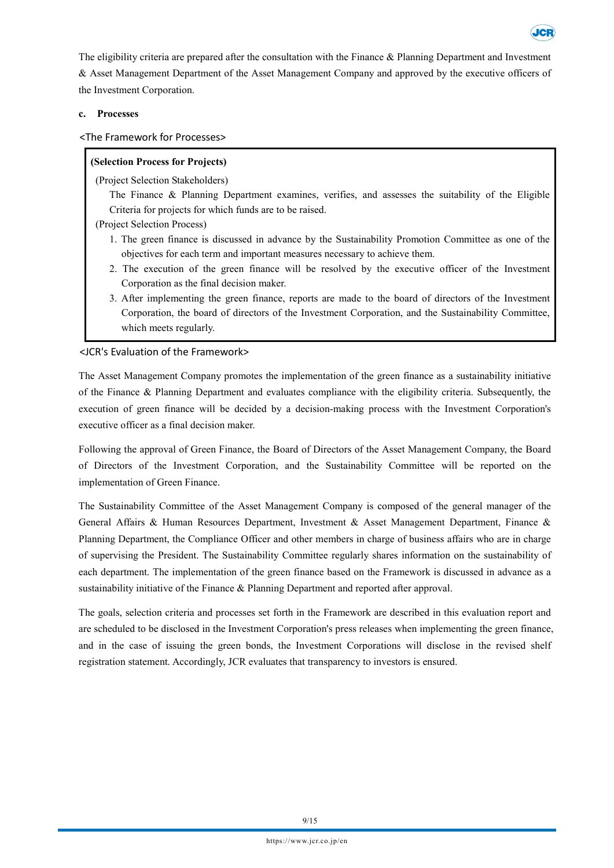The eligibility criteria are prepared after the consultation with the Finance & Planning Department and Investment & Asset Management Department of the Asset Management Company and approved by the executive officers of the Investment Corporation.

## **c. Processes**

## <The Framework for Processes>

## **(Selection Process for Projects)**

(Project Selection Stakeholders)

- The Finance & Planning Department examines, verifies, and assesses the suitability of the Eligible Criteria for projects for which funds are to be raised.
- (Project Selection Process)
	- 1. The green finance is discussed in advance by the Sustainability Promotion Committee as one of the objectives for each term and important measures necessary to achieve them.
	- 2. The execution of the green finance will be resolved by the executive officer of the Investment Corporation as the final decision maker.
	- 3. After implementing the green finance, reports are made to the board of directors of the Investment Corporation, the board of directors of the Investment Corporation, and the Sustainability Committee, which meets regularly.

## <JCR's Evaluation of the Framework>

The Asset Management Company promotes the implementation of the green finance as a sustainability initiative of the Finance & Planning Department and evaluates compliance with the eligibility criteria. Subsequently, the execution of green finance will be decided by a decision-making process with the Investment Corporation's executive officer as a final decision maker.

Following the approval of Green Finance, the Board of Directors of the Asset Management Company, the Board of Directors of the Investment Corporation, and the Sustainability Committee will be reported on the implementation of Green Finance.

The Sustainability Committee of the Asset Management Company is composed of the general manager of the General Affairs & Human Resources Department, Investment & Asset Management Department, Finance & Planning Department, the Compliance Officer and other members in charge of business affairs who are in charge of supervising the President. The Sustainability Committee regularly shares information on the sustainability of each department. The implementation of the green finance based on the Framework is discussed in advance as a sustainability initiative of the Finance & Planning Department and reported after approval.

The goals, selection criteria and processes set forth in the Framework are described in this evaluation report and are scheduled to be disclosed in the Investment Corporation's press releases when implementing the green finance, and in the case of issuing the green bonds, the Investment Corporations will disclose in the revised shelf registration statement. Accordingly, JCR evaluates that transparency to investors is ensured.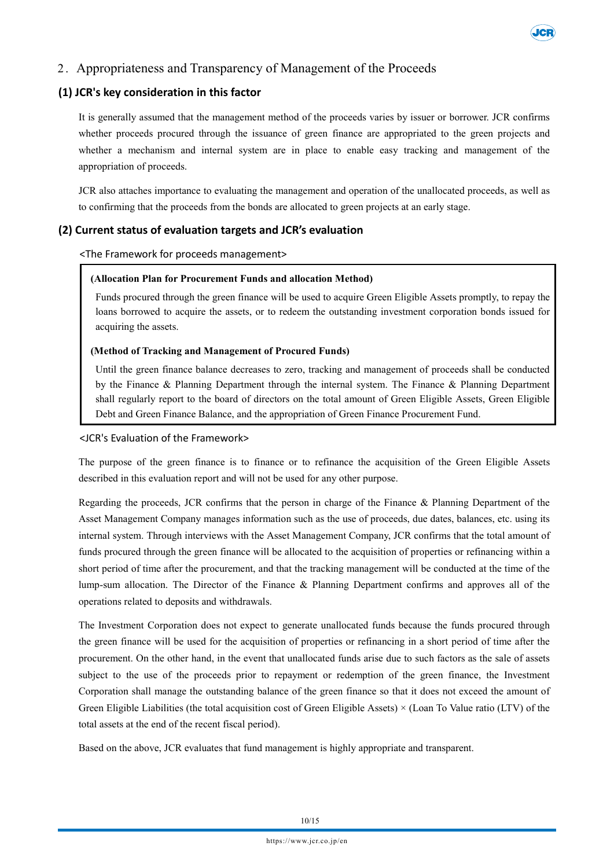

## 2 . Appropriateness and Transparency of Management of the Proceeds

## **(1) JCR's key consideration in this factor**

It is generally assumed that the management method of the proceeds varies by issuer or borrower. JCR confirms whether proceeds procured through the issuance of green finance are appropriated to the green projects and whether a mechanism and internal system are in place to enable easy tracking and management of the appropriation of proceeds.

JCR also attaches importance to evaluating the management and operation of the unallocated proceeds, as well as to confirming that the proceeds from the bonds are allocated to green projects at an early stage.

## **(2) Current status of evaluation targets and JCR's evaluation**

<The Framework for proceeds management>

### **(Allocation Plan for Procurement Funds and allocation Method)**

Funds procured through the green finance will be used to acquire Green Eligible Assets promptly, to repay the loans borrowed to acquire the assets, or to redeem the outstanding investment corporation bonds issued for acquiring the assets.

#### **(Method of Tracking and Management of Procured Funds)**

Until the green finance balance decreases to zero, tracking and management of proceeds shall be conducted by the Finance & Planning Department through the internal system. The Finance & Planning Department shall regularly report to the board of directors on the total amount of Green Eligible Assets, Green Eligible Debt and Green Finance Balance, and the appropriation of Green Finance Procurement Fund.

#### <JCR's Evaluation of the Framework>

The purpose of the green finance is to finance or to refinance the acquisition of the Green Eligible Assets described in this evaluation report and will not be used for any other purpose.

Regarding the proceeds, JCR confirms that the person in charge of the Finance & Planning Department of the Asset Management Company manages information such as the use of proceeds, due dates, balances, etc. using its internal system. Through interviews with the Asset Management Company, JCR confirms that the total amount of funds procured through the green finance will be allocated to the acquisition of properties or refinancing within a short period of time after the procurement, and that the tracking management will be conducted at the time of the lump-sum allocation. The Director of the Finance & Planning Department confirms and approves all of the operations related to deposits and withdrawals.

The Investment Corporation does not expect to generate unallocated funds because the funds procured through the green finance will be used for the acquisition of properties or refinancing in a short period of time after the procurement. On the other hand, in the event that unallocated funds arise due to such factors as the sale of assets subject to the use of the proceeds prior to repayment or redemption of the green finance, the Investment Corporation shall manage the outstanding balance of the green finance so that it does not exceed the amount of Green Eligible Liabilities (the total acquisition cost of Green Eligible Assets) × (Loan To Value ratio (LTV) of the total assets at the end of the recent fiscal period).

Based on the above, JCR evaluates that fund management is highly appropriate and transparent.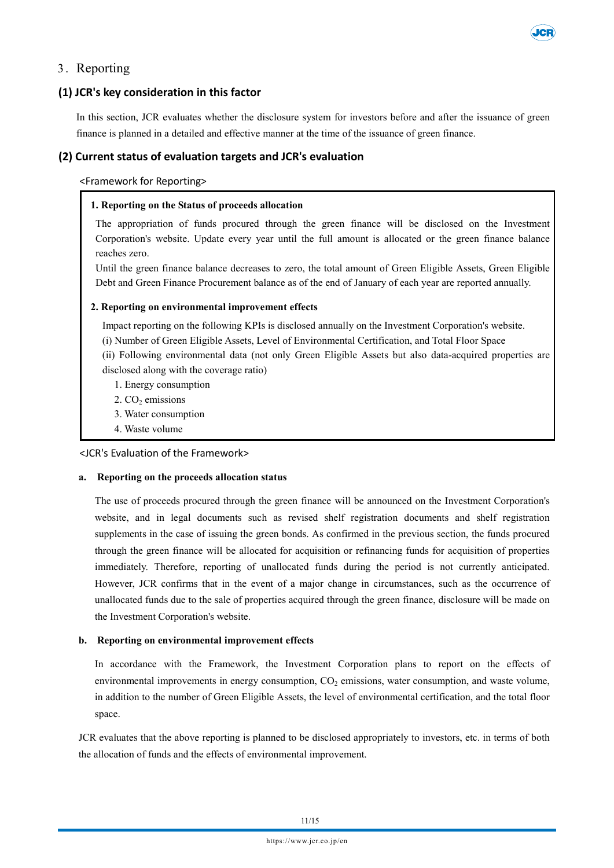

## 3 . Reporting

## **(1) JCR's key consideration in this factor**

In this section, JCR evaluates whether the disclosure system for investors before and after the issuance of green finance is planned in a detailed and effective manner at the time of the issuance of green finance.

## **(2) Current status of evaluation targets and JCR's evaluation**

<Framework for Reporting>

## **1. Reporting on the Status of proceeds allocation**

The appropriation of funds procured through the green finance will be disclosed on the Investment Corporation's website. Update every year until the full amount is allocated or the green finance balance reaches zero.

Until the green finance balance decreases to zero, the total amount of Green Eligible Assets, Green Eligible Debt and Green Finance Procurement balance as of the end of January of each year are reported annually.

#### **2. Reporting on environmental improvement effects**

Impact reporting on the following KPIs is disclosed annually on the Investment Corporation's website. (i) Number of Green Eligible Assets, Level of Environmental Certification, and Total Floor Space (ii) Following environmental data (not only Green Eligible Assets but also data-acquired properties are disclosed along with the coverage ratio)

- 1. Energy consumption
- $2. CO<sub>2</sub>$  emissions
- 3. Water consumption
- 4. Waste volume

<JCR's Evaluation of the Framework>

### **a. Reporting on the proceeds allocation status**

The use of proceeds procured through the green finance will be announced on the Investment Corporation's website, and in legal documents such as revised shelf registration documents and shelf registration supplements in the case of issuing the green bonds. As confirmed in the previous section, the funds procured through the green finance will be allocated for acquisition or refinancing funds for acquisition of properties immediately. Therefore, reporting of unallocated funds during the period is not currently anticipated. However, JCR confirms that in the event of a major change in circumstances, such as the occurrence of unallocated funds due to the sale of properties acquired through the green finance, disclosure will be made on the Investment Corporation's website.

### **b. Reporting on environmental improvement effects**

In accordance with the Framework, the Investment Corporation plans to report on the effects of environmental improvements in energy consumption, CO<sub>2</sub> emissions, water consumption, and waste volume, in addition to the number of Green Eligible Assets, the level of environmental certification, and the total floor space.

JCR evaluates that the above reporting is planned to be disclosed appropriately to investors, etc. in terms of both the allocation of funds and the effects of environmental improvement.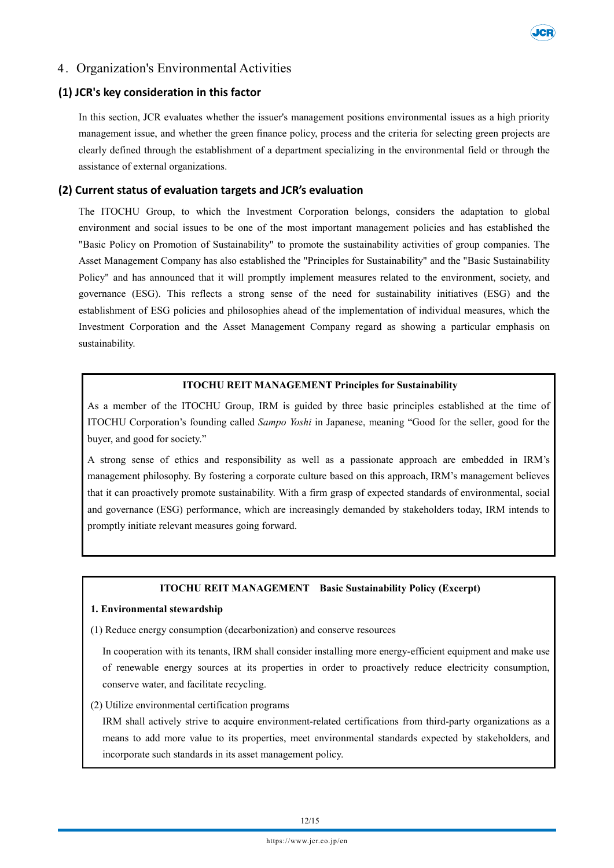

## 4 . Organization's Environmental Activities

## **(1) JCR's key consideration in this factor**

In this section, JCR evaluates whether the issuer's management positions environmental issues as a high priority management issue, and whether the green finance policy, process and the criteria for selecting green projects are clearly defined through the establishment of a department specializing in the environmental field or through the assistance of external organizations.

## **(2) Current status of evaluation targets and JCR's evaluation**

The ITOCHU Group, to which the Investment Corporation belongs, considers the adaptation to global environment and social issues to be one of the most important management policies and has established the "Basic Policy on Promotion of Sustainability" to promote the sustainability activities of group companies. The Asset Management Company has also established the "Principles for Sustainability" and the "Basic Sustainability Policy" and has announced that it will promptly implement measures related to the environment, society, and governance (ESG). This reflects a strong sense of the need for sustainability initiatives (ESG) and the establishment of ESG policies and philosophies ahead of the implementation of individual measures, which the Investment Corporation and the Asset Management Company regard as showing a particular emphasis on sustainability.

#### **ITOCHU REIT MANAGEMENT Principles for Sustainability**

As a member of the ITOCHU Group, IRM is guided by three basic principles established at the time of ITOCHU Corporation's founding called *Sampo Yoshi* in Japanese, meaning "Good for the seller, good for the buyer, and good for society."

A strong sense of ethics and responsibility as well as a passionate approach are embedded in IRM's management philosophy. By fostering a corporate culture based on this approach, IRM's management believes that it can proactively promote sustainability. With a firm grasp of expected standards of environmental, social and governance (ESG) performance, which are increasingly demanded by stakeholders today, IRM intends to promptly initiate relevant measures going forward.

#### **ITOCHU REIT MANAGEMENT Basic Sustainability Policy (Excerpt)**

#### **1. Environmental stewardship**

(1) Reduce energy consumption (decarbonization) and conserve resources

In cooperation with its tenants, IRM shall consider installing more energy-efficient equipment and make use of renewable energy sources at its properties in order to proactively reduce electricity consumption, conserve water, and facilitate recycling.

### (2) Utilize environmental certification programs

IRM shall actively strive to acquire environment-related certifications from third-party organizations as a means to add more value to its properties, meet environmental standards expected by stakeholders, and incorporate such standards in its asset management policy.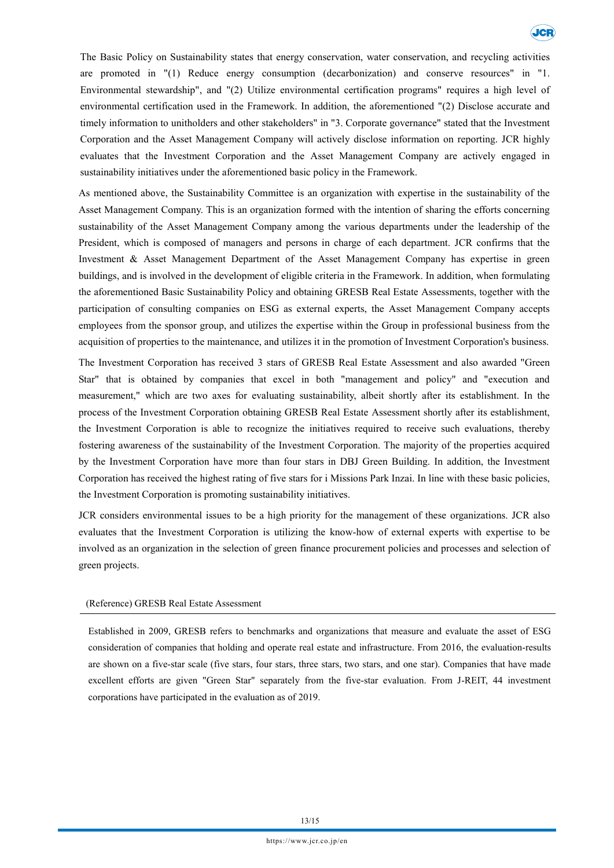The Basic Policy on Sustainability states that energy conservation, water conservation, and recycling activities are promoted in "(1) Reduce energy consumption (decarbonization) and conserve resources" in "1. Environmental stewardship", and "(2) Utilize environmental certification programs" requires a high level of environmental certification used in the Framework. In addition, the aforementioned "(2) Disclose accurate and timely information to unitholders and other stakeholders" in "3. Corporate governance" stated that the Investment Corporation and the Asset Management Company will actively disclose information on reporting. JCR highly evaluates that the Investment Corporation and the Asset Management Company are actively engaged in sustainability initiatives under the aforementioned basic policy in the Framework.

As mentioned above, the Sustainability Committee is an organization with expertise in the sustainability of the Asset Management Company. This is an organization formed with the intention of sharing the efforts concerning sustainability of the Asset Management Company among the various departments under the leadership of the President, which is composed of managers and persons in charge of each department. JCR confirms that the Investment & Asset Management Department of the Asset Management Company has expertise in green buildings, and is involved in the development of eligible criteria in the Framework. In addition, when formulating the aforementioned Basic Sustainability Policy and obtaining GRESB Real Estate Assessments, together with the participation of consulting companies on ESG as external experts, the Asset Management Company accepts employees from the sponsor group, and utilizes the expertise within the Group in professional business from the acquisition of properties to the maintenance, and utilizes it in the promotion of Investment Corporation's business.

The Investment Corporation has received 3 stars of GRESB Real Estate Assessment and also awarded "Green Star" that is obtained by companies that excel in both "management and policy" and "execution and measurement," which are two axes for evaluating sustainability, albeit shortly after its establishment. In the process of the Investment Corporation obtaining GRESB Real Estate Assessment shortly after its establishment, the Investment Corporation is able to recognize the initiatives required to receive such evaluations, thereby fostering awareness of the sustainability of the Investment Corporation. The majority of the properties acquired by the Investment Corporation have more than four stars in DBJ Green Building. In addition, the Investment Corporation has received the highest rating of five stars for i Missions Park Inzai. In line with these basic policies, the Investment Corporation is promoting sustainability initiatives.

JCR considers environmental issues to be a high priority for the management of these organizations. JCR also evaluates that the Investment Corporation is utilizing the know-how of external experts with expertise to be involved as an organization in the selection of green finance procurement policies and processes and selection of green projects.

#### (Reference) GRESB Real Estate Assessment

Established in 2009, GRESB refers to benchmarks and organizations that measure and evaluate the asset of ESG consideration of companies that holding and operate real estate and infrastructure. From 2016, the evaluation-results are shown on a five-star scale (five stars, four stars, three stars, two stars, and one star). Companies that have made excellent efforts are given "Green Star" separately from the five-star evaluation. From J-REIT, 44 investment corporations have participated in the evaluation as of 2019.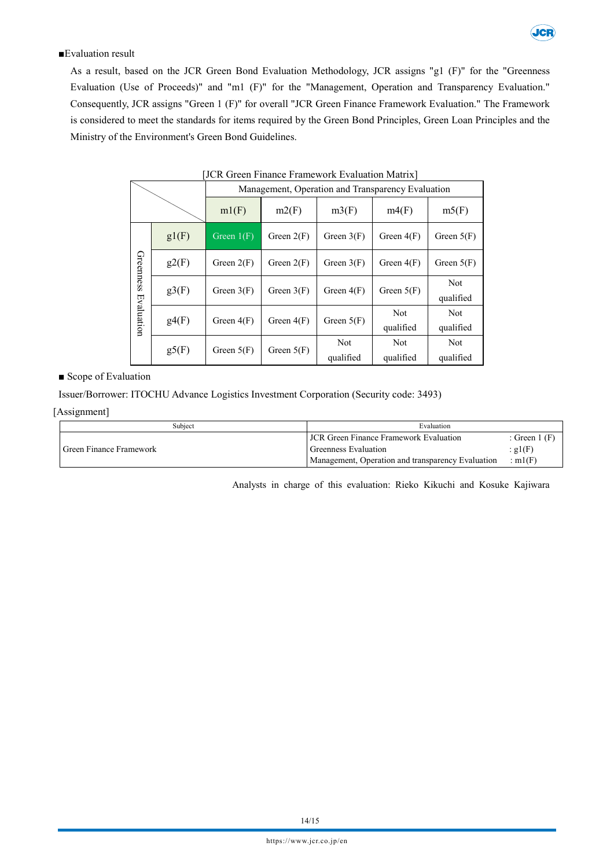

## ■Evaluation result

As a result, based on the JCR Green Bond Evaluation Methodology, JCR assigns "g1 (F)" for the "Greenness Evaluation (Use of Proceeds)" and "m1 (F)" for the "Management, Operation and Transparency Evaluation." Consequently, JCR assigns "Green 1 (F)" for overall "JCR Green Finance Framework Evaluation." The Framework is considered to meet the standards for items required by the Green Bond Principles, Green Loan Principles and the Ministry of the Environment's Green Bond Guidelines.

|                         |       | Management, Operation and Transparency Evaluation |              |              |              |                         |  |
|-------------------------|-------|---------------------------------------------------|--------------|--------------|--------------|-------------------------|--|
|                         |       | ml(F)                                             | m2(F)        | m3(F)        | m4(F)        | m5(F)                   |  |
| Greenness<br>Evaluation | gl(F) | Green $1(F)$                                      | Green $2(F)$ | Green $3(F)$ | Green $4(F)$ | Green $5(F)$            |  |
|                         | g2(F) | Green $2(F)$                                      | Green $2(F)$ | Green $3(F)$ | Green $4(F)$ | Green $5(F)$            |  |
|                         | g3(F) | Green $3(F)$                                      | Green $3(F)$ | Green $4(F)$ | Green $5(F)$ | <b>Not</b><br>qualified |  |
|                         | g4(F) | Green $4(F)$                                      | Green $4(F)$ | Green $5(F)$ | Not          | <b>Not</b>              |  |
|                         |       |                                                   |              |              | qualified    | qualified               |  |
|                         | g5(F) | Green $5(F)$                                      | Green $5(F)$ | Not          | <b>Not</b>   | <b>Not</b>              |  |
|                         |       |                                                   |              | qualified    | qualified    | qualified               |  |

|  | [JCR Green Finance Framework Evaluation Matrix] |  |
|--|-------------------------------------------------|--|
|  |                                                 |  |

■ Scope of Evaluation

Issuer/Borrower: ITOCHU Advance Logistics Investment Corporation (Security code: 3493)

#### [Assignment]

| Subiect                 | Evaluation                                        |                |
|-------------------------|---------------------------------------------------|----------------|
|                         | <b>JCR</b> Green Finance Framework Evaluation     | : Green $1$ (F |
| Green Finance Framework | Greenness Evaluation                              | : $g1(F)$      |
|                         | Management, Operation and transparency Evaluation | : m $1(F)$     |

Analysts in charge of this evaluation: Rieko Kikuchi and Kosuke Kajiwara